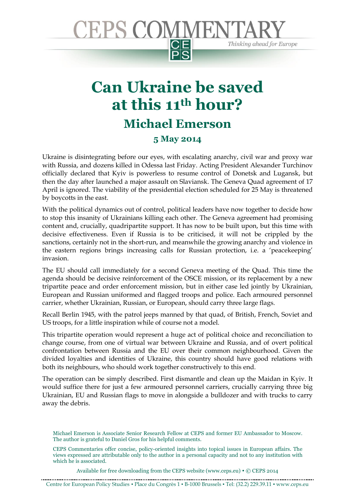

## **Can Ukraine be saved at this 11th hour? Michael Emerson 5 May 2014**

Ukraine is disintegrating before our eyes, with escalating anarchy, civil war and proxy war with Russia, and dozens killed in Odessa last Friday. Acting President Alexander Turchinov officially declared that Kyiv is powerless to resume control of Donetsk and Lugansk, but then the day after launched a major assault on Slaviansk. The Geneva Quad agreement of 17 April is ignored. The viability of the presidential election scheduled for 25 May is threatened by boycotts in the east.

With the political dynamics out of control, political leaders have now together to decide how to stop this insanity of Ukrainians killing each other. The Geneva agreement had promising content and, crucially, quadripartite support. It has now to be built upon, but this time with decisive effectiveness. Even if Russia is to be criticised, it will not be crippled by the sanctions, certainly not in the short-run, and meanwhile the growing anarchy and violence in the eastern regions brings increasing calls for Russian protection, i.e. a 'peacekeeping' invasion.

The EU should call immediately for a second Geneva meeting of the Quad. This time the agenda should be decisive reinforcement of the OSCE mission, or its replacement by a new tripartite peace and order enforcement mission, but in either case led jointly by Ukrainian, European and Russian uniformed and flagged troops and police. Each armoured personnel carrier, whether Ukrainian, Russian, or European, should carry three large flags.

Recall Berlin 1945, with the patrol jeeps manned by that quad, of British, French, Soviet and US troops, for a little inspiration while of course not a model.

This tripartite operation would represent a huge act of political choice and reconciliation to change course, from one of virtual war between Ukraine and Russia, and of overt political confrontation between Russia and the EU over their common neighbourhood. Given the divided loyalties and identities of Ukraine, this country should have good relations with both its neighbours, who should work together constructively to this end.

The operation can be simply described. First dismantle and clean up the Maidan in Kyiv. It would suffice there for just a few armoured personnel carriers, crucially carrying three big Ukrainian, EU and Russian flags to move in alongside a bulldozer and with trucks to carry away the debris.

Available for free downloading from the CEPS website (www.ceps.eu) © CEPS 2014

Michael Emerson is Associate Senior Research Fellow at CEPS and former EU Ambassador to Moscow. The author is grateful to Daniel Gros for his helpful comments.

[CEPS Commentaries o](http://shop.ceps.be/BooksList.php?category_id=6&)ffer concise, policy-oriented insights into topical issues in European affairs. The views expressed are attributable only to the author in a personal capacity and not to any institution with which he is associated.

Centre for European Policy Studies ▪ Place du Congrès 1 ▪ B-1000 Brussels ▪ Tel: (32.2) 229.39.11 ▪ www.ceps.eu